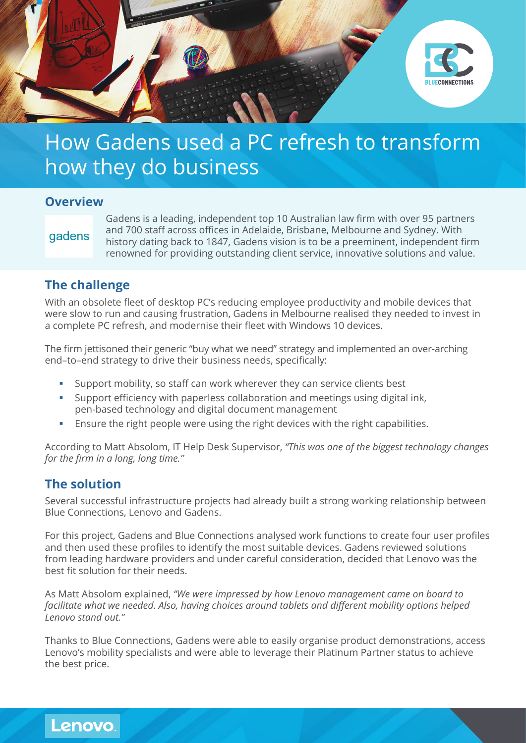

# How Gadens used a PC refresh to transform how they do business

#### **Overview**

#### gadens

Gadens is a leading, independent top 10 Australian law firm with over 95 partners and 700 staff across offices in Adelaide, Brisbane, Melbourne and Sydney. With history dating back to 1847, Gadens vision is to be a preeminent, independent firm renowned for providing outstanding client service, innovative solutions and value.

# **The challenge**

With an obsolete fleet of desktop PC's reducing employee productivity and mobile devices that were slow to run and causing frustration, Gadens in Melbourne realised they needed to invest in a complete PC refresh, and modernise their fleet with Windows 10 devices.

The firm jettisoned their generic "buy what we need" strategy and implemented an over-arching end–to–end strategy to drive their business needs, specifically:

- § Support mobility, so staff can work wherever they can service clients best
- § Support efficiency with paperless collaboration and meetings using digital ink, pen-based technology and digital document management
- Ensure the right people were using the right devices with the right capabilities.

According to Matt Absolom, IT Help Desk Supervisor, *"This was one of the biggest technology changes for the firm in a long, long time."*

## **The solution**

 $Lenovo$ 

Several successful infrastructure projects had already built a strong working relationship between Blue Connections, Lenovo and Gadens.

For this project, Gadens and Blue Connections analysed work functions to create four user profiles and then used these profiles to identify the most suitable devices. Gadens reviewed solutions from leading hardware providers and under careful consideration, decided that Lenovo was the best fit solution for their needs.

As Matt Absolom explained, *"We were impressed by how Lenovo management came on board to facilitate what we needed. Also, having choices around tablets and different mobility options helped Lenovo stand out."*

Thanks to Blue Connections, Gadens were able to easily organise product demonstrations, access Lenovo's mobility specialists and were able to leverage their Platinum Partner status to achieve the best price.